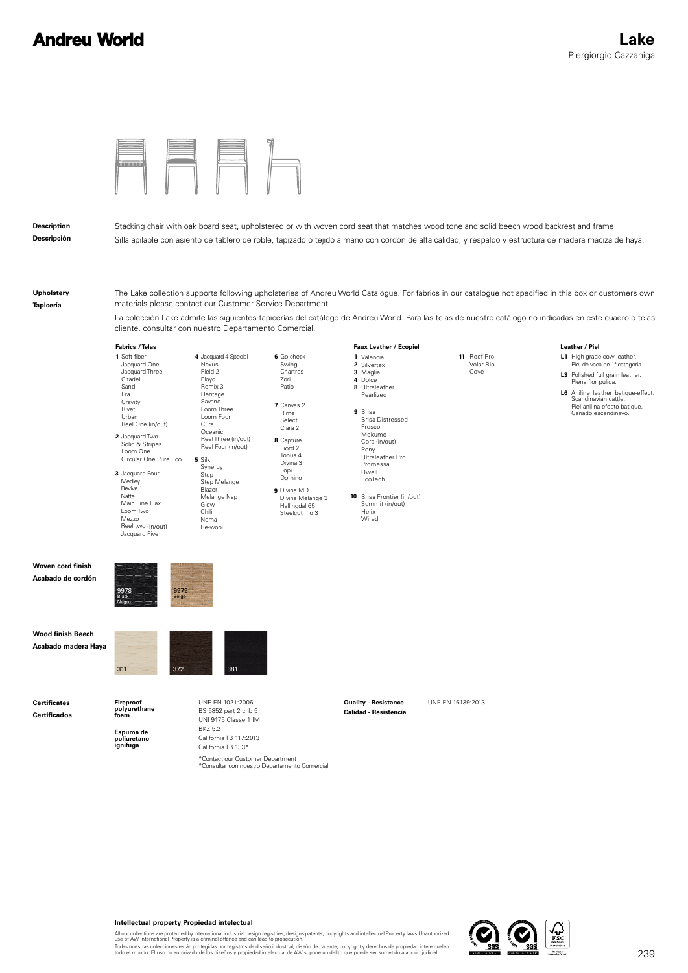# **Andreu World**



### **Description Descripción**

Stacking chair with oak board seat, upholstered or with woven cord seat that matches wood tone and solid beech wood backrest and frame. Silla apilable con asiento de tablero de roble, tapizado o tejido a mano con cordón de alta calidad, y respaldo y estructura de madera maciza de haya.

**Upholstery Tapicería**

The Lake collection supports following upholsteries of Andreu World Catalogue. For fabrics in our catalogue not specified in this box or customers own materials please contact our Customer Service Department.

La colección Lake admite las siguientes tapicerías del catálogo de Andreu World. Para las telas de nuestro catálogo no indicadas en este cuadro o telas cliente, consultar con nuestro Departamento Comercial.

## **Fabrics** / Telas

| 1 Soft-fiber          | 4 |
|-----------------------|---|
| Jacquard One          |   |
| Jacquard Three        |   |
| Citadel               |   |
| Sand                  |   |
| Fra                   |   |
| Gravity               |   |
| Rivet                 |   |
| Urban                 |   |
| Reel One (in/out)     |   |
| 2 Jacquard Two        |   |
| Solid & Stripes       |   |
| Loom One              |   |
| Circular One Pure Eco | 5 |
| 3 Jacquard Four       |   |
| Medley                |   |
| Revive 1              |   |
| Natte                 |   |
| Main Line Flax        |   |
| Loom Two              |   |
| Mezzo                 |   |
| Reel two (in/out)     |   |

Jacquard Five

Negro

Silk Synergy Step Step Melange Blazer Melange Nap Glow Chili Noma Re-wool

Jacquard 4 Special **Nexus** Field 2 Floyd Remix 3 Heritage Savane Loom Three Loom Four Cura Oceanic Reel Three (in/out) Reel Four (in/out)

**8** Capture **6** Go check Swing Zori Patio Rime Select

- **7** Canvas 2 Fiord 2 Tonus 4 Divina 3 **Chartres** Clara 2
- **9** Divina MD Lopi Domino
- Divina Melange 3 Hallingdal 65 Steelcut Trio 3

Valencia **1** Silvertex **2** Maglia Dolce **3 4 8** Ultraleather **Faux Leather** / Ecopiel

**10** Brisa Frontier (in/out)

Summit (in/out) Helix Wired

Pony Ultraleather Pro Promessa Dwell EcoTech

**9** Brisa

Pearlized

Mokume

Brisa Distressed Fresco Cora (in/out)

**11** Reef Pro Volar Bio Cove

## Leather / Piel

- **L1** High grade cow leather. Piel de vaca de 1ª categoría.
- **L3** Polished full grain leather. Plena flor pulida.
- **L6** Aniline leather batique-effect. Scandinavian cattle. Piel anilina efecto batique. Ganado escandinavo.

**Woven cord finish Acabado de cordón**



311 372 381

**Wood finish Beech Acabado madera Haya**

**Certificates Certificados**

**Espuma de poliuretano Fireproof polyurethane foam**

**ignífuga**

BS 5852 part 2 crib 5 UNI 9175 Classe 1 IM BKZ 5.2 California TB 117:2013 California TB 133\*

\*Contact our Customer Department<br>\*Consultar con nuestro Departamento Comercial

UNE EN 1021:2006 **Duality - Resistance** UNE EN 16139:2013 **Calidad - Resistencia**



#### **Intellectual property Propiedad intelectual**

All our collections are protected by international industrial design registries, designs patents, copyrights and intellectual Property laws.Unauthorized<br>use of AW International Property is a criminal offence and can lead t

Todas nuestras colecciones están protegidas por registros de diseño industrial, diseño de patente, copyright y derechos de propiedad intelectualen<br>todo el mundo. El uso no autorizado de los diseños y propiedad intelectual